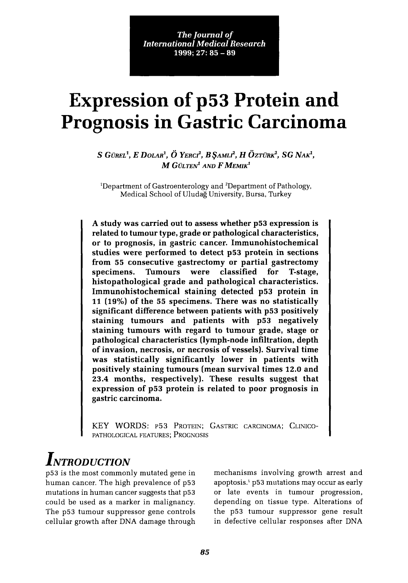*The Journal of International Medical Research*  $1999: 27: 85 - 89$ 

# **Expression of p53 Protein and Prognosis in Gastric Carcinoma**

S GÜREL<sup>1</sup>, *E DOLAR<sup>1</sup>*,  $\ddot{O}$  YERCI<sup>2</sup>, *B* \$AMLI<sup>2</sup>, *H*  $\ddot{O}$ ZTÜRK<sup>2</sup>, SG NAK<sup>1</sup>, M GULTEN*<sup>1</sup>* AND F MEMIK*<sup>1</sup>*

<sup>1</sup>Department of Gastroenterology and <sup>2</sup>Department of Pathology, Medical School of Uludag University, Bursa, Turkey

A study was carried out to assess whether p53 expression is related to tumour type, grade or pathological characteristics, or to prognosis, in gastric cancer. Immunohistochemical studies were performed to detect p53 protein in sections from 55 consecutive gastrectomy or partial gastrectomy specimens. Tumours were classified for T-stage, histopathological grade and pathological characteristics. Immunohistochemical staining detected p53 protein in 11 (19%) of the 55 specimens. There was no statistically significant difference between patients with p53 positively staining tumours and patients with p53 negatively staining tumours with regard to tumour grade, stage or pathological characteristics (lymph-node infiltration, depth of invasion, necrosis, or necrosis of vessels). Survival time was statistically significantly lower in patients with positively staining tumours (mean survival times 12.0 and 23.4 months, respectively). These results suggest that expression of p53 protein is related to poor prognosis in gastric carcinoma.

KEY WORDS: p53 PROTEIN; GASTRIC CARCINOMA; CLINICO-PATHOLOGICAL FEATURES; PROGNOSIS

## *INTRODUCTION*

p53 is the most commonly mutated gene in human cancer. The high prevalence of p53 mutations in human cancer suggests that p53 could be used as a marker in malignancy. The p53 tumour suppressor gene controls cellular growth after DNA damage through mechanisms involving growth arrest and apoptosis.' p53 mutations may occur as early or late events in tumour progression, depending on tissue type. Alterations of the p53 tumour suppressor gene result in defective cellular responses after DNA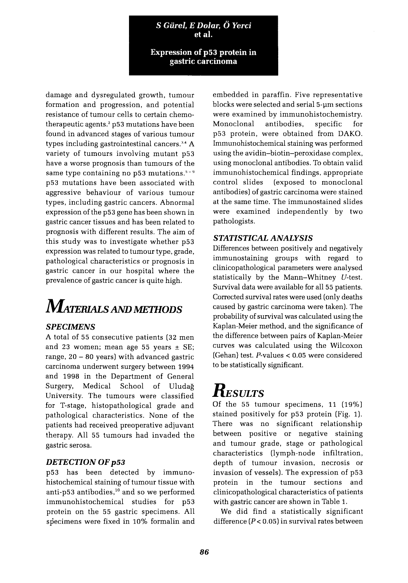**S** *Giirel, E Dolar,* **0** *Yerci* **et al.**

**Expression of p53 protein in gastric carcinoma**

damage and dysregulated growth, tumour formation and progression, and potential resistance of tumour cells to certain chemotherapeutic agents.' p53 mutations have been found in advanced stages of various tumour types including gastrointestinal cancers.<sup>3.4</sup> A variety of tumours involving mutant p53 have a worse prognosis than tumours of the same type containing no  $p53$  mutations.<sup>5-9</sup> p53 mutations have been associated with aggressive behaviour of various tumour types, including gastric cancers. Abnormal expression of the p53 gene has been shown in gastric cancer tissues and has been related to prognosis with different results. The aim of this study was to investigate whether p53 expression was related to tumour type, grade, pathological characteristics or prognosis in gastric cancer in our hospital where the prevalence of gastric cancer is quite high.

# **MAmRIALS AND METIlODS**

### *SPECIMENS*

A total of 55 consecutive patients (32 men and 23 women; mean age 55 years  $\pm$  SE; range,  $20 - 80$  years) with advanced gastric carcinoma underwent surgery between 1994 and 1998 in the Department of General Surgery, Medical School of Uludag University. The tumours were classified for T-stage, histopathological grade and pathological characteristics. None of the patients had received preoperative adjuvant therapy. All 55 tumours had invaded the gastric serosa.

### *DETECTION* **OF** *p53*

p53 has been detected by immunohistochemical staining of tumour tissue with anti-p53 antibodies,<sup>10</sup> and so we performed immunohistochemical studies for p53 protein on the 55 gastric specimens. All specimens were fixed in 10% formalin and embedded in paraffin. Five representative blocks were selected and serial 5-um sections were examined by immunohistochemistry. Monoclonal antibodies, specific for p53 protein, were obtained from DAKO. Immunohistochemical staining was performed using the avidin-biotin-peroxidase complex, using monoclonal antibodies. To obtain valid immunohistochemical findings, appropriate control slides (exposed to monoclonal antibodies) of gastric carcinoma were stained at the same time. The immunostained slides were examined independently by two pathologists.

### *STATISTICAL ANALYSIS*

Differences between positively and negatively immunostaining groups with regard to clinicopathological parameters were analysed statistically by the Mann-Whitney V-test. Survival data were available for all 55 patients. Corrected survival rates were used (only deaths caused by gastric carcinoma were taken). The probability of survival was calculated using the Kaplan-Meier method, and the significance of the difference between pairs of Kaplan-Meier curves was calculated using the Wilcoxon (Gehan) test. P-values < 0.05 were considered to be statistically significant.

## **RESULTS**

Of the 55 tumour specimens, 11 (19%) stained positively for p53 protein (Fig. 1). There was no significant relationship between positive or negative staining and tumour grade, stage or pathological characteristics (lymph-node infiltration, depth of tumour invasion, necrosis or invasion of vessels). The expression of p53 protein in the tumour sections and clinicopathological characteristics of patients with gastric cancer are shown in Table 1.

We did find a statistically significant difference  $(P < 0.05)$  in survival rates between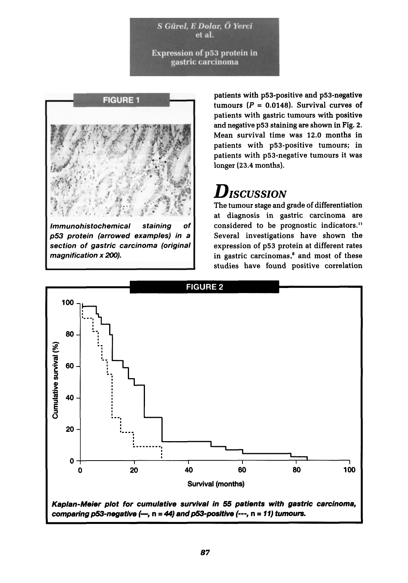S Gürel, E Dolar, Ö Yerci et al.

**Expression of p53 protein in** gastric carcinoma



Immunohistochemical staining of p53 protein (arrowed examples) in a section of gastric carcinoma (original magnification x 200).

patients with p53-positive and p53-negative tumours  $(P = 0.0148)$ . Survival curves of patients with gastric tumours with positive and negative p53 staining are shown in Fig. 2. Mean survival time was 12.0 months in patients with p53-positive tumours; in patients with p53-negative tumours it was longer (23.4 months).

### *DISCUSSION*

The tumour stage and grade of differentiation at diagnosis in gastric carcinoma are considered to be prognostic indicators.<sup>11</sup> Several investigations have shown the expression of p53 protein at different rates in gastric carcinomas, $^8$  and most of these studies have found positive correlation

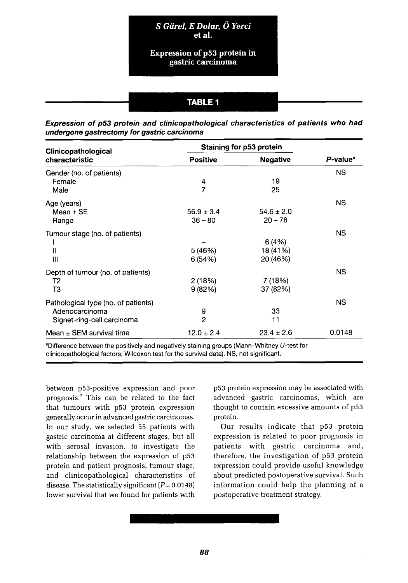**S** Giirel, *E Dolar,* **0** *Yerci* **et al.**

#### **Expression** of p53 protein in **gastric carcinoma**

### **TABLE 1**

#### **Expression of p53 protein and clinicopathological characteristics of patients who had undergone gastrectomy for gastric carcinoma**

| Clinicopathological<br>characteristic | Staining for p53 protein |                 |                      |
|---------------------------------------|--------------------------|-----------------|----------------------|
|                                       | <b>Positive</b>          | <b>Negative</b> | P-value <sup>a</sup> |
| Gender (no. of patients)              |                          |                 | <b>NS</b>            |
| Female                                | 4                        | 19              |                      |
| Male                                  | $\overline{7}$           | 25              |                      |
| Age (years)                           |                          |                 | <b>NS</b>            |
| Mean $\pm$ SE                         | $56.9 \pm 3.4$           | $54.6 \pm 2.0$  |                      |
| Range                                 | $36 - 80$                | $20 - 78$       |                      |
| Tumour stage (no. of patients)        |                          |                 | <b>NS</b>            |
|                                       |                          | 6(4%)           |                      |
| Ш                                     | 5 (46%)                  | 18 (41%)        |                      |
| Ш                                     | 6(54%)                   | 20 (46%)        |                      |
| Depth of tumour (no. of patients)     |                          |                 | <b>NS</b>            |
| T2                                    | 2(18%)                   | 7(18%)          |                      |
| T3                                    | 9(82%)                   | 37 (82%)        |                      |
| Pathological type (no. of patients)   |                          |                 | <b>NS</b>            |
| Adenocarcinoma                        | 9                        | 33              |                      |
| Signet-ring-cell carcinoma            | $\overline{2}$           | 11              |                      |
| Mean $\pm$ SEM survival time          | $12.0 \pm 2.4$           | $23.4 \pm 2.6$  | 0.0148               |

<sup>a</sup>Difference between the positively and negatively staining groups (Mann-Whitney U-test for clinicopathological factors; Wilcoxon test for the survival data). NS, not significant.

between p53-positive expression and poor prognosis.' This can be related to the fact that tumours with p53 protein expression generally occur in advanced gastric carcinomas. In our study, we selected 55 patients with gastric carcinoma at different stages, but all with serosal invasion, to investigate the relationship between the expression of p53 protein and patient prognosis, tumour stage, and clinicopathological characteristics of disease. The statistically significant *(P= 0.0148)* lower survival that we found for patients with

p53 protein expression may be associated with advanced gastric carcinomas, which are thought to contain excessive amounts of p53 protein.

Our results indicate that p53 protein expression is related to poor prognosis in patients with gastric carcinoma and, therefore, the investigation of p53 protein expression could provide useful knowledge about predicted postoperative survival. Such information could help the planning of a postoperative treatment strategy.